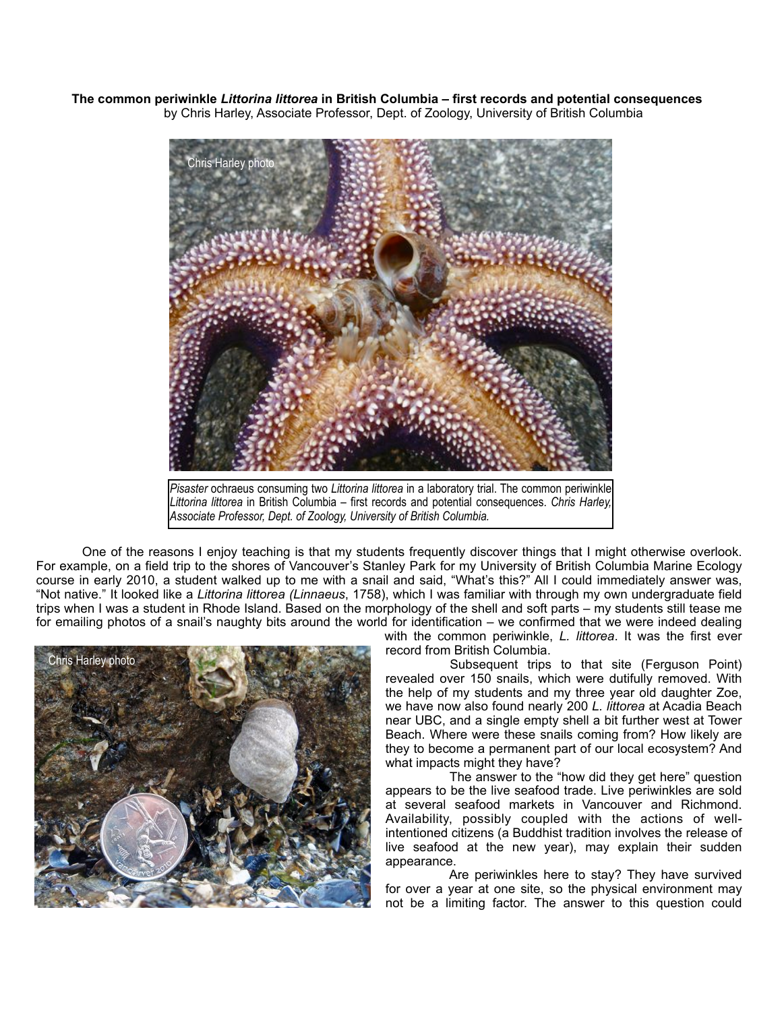**The common periwinkle** *Littorina littorea* **in British Columbia – first records and potential consequences** by Chris Harley, Associate Professor, Dept. of Zoology, University of British Columbia



*Littorina littorea* in British Columbia – first records and potential consequences. *Chris Harley, Associate Professor, Dept. of Zoology, University of British Columbia.*

 One of the reasons I enjoy teaching is that my students frequently discover things that I might otherwise overlook. For example, on a field trip to the shores of Vancouver's Stanley Park for my University of British Columbia Marine Ecology course in early 2010, a student walked up to me with a snail and said, "What's this?" All I could immediately answer was, "Not native." It looked like a *Littorina littorea (Linnaeus*, 1758), which I was familiar with through my own undergraduate field trips when I was a student in Rhode Island. Based on the morphology of the shell and soft parts – my students still tease me for emailing photos of a snail's naughty bits around the world for identification – we confirmed that we were indeed dealing



with the common periwinkle, *L. littorea*. It was the first ever record from British Columbia.

 Subsequent trips to that site (Ferguson Point) revealed over 150 snails, which were dutifully removed. With the help of my students and my three year old daughter Zoe, we have now also found nearly 200 *L. littorea* at Acadia Beach near UBC, and a single empty shell a bit further west at Tower Beach. Where were these snails coming from? How likely are they to become a permanent part of our local ecosystem? And what impacts might they have?

 The answer to the "how did they get here" question appears to be the live seafood trade. Live periwinkles are sold at several seafood markets in Vancouver and Richmond. Availability, possibly coupled with the actions of wellintentioned citizens (a Buddhist tradition involves the release of live seafood at the new year), may explain their sudden appearance.

 Are periwinkles here to stay? They have survived for over a year at one site, so the physical environment may not be a limiting factor. The answer to this question could